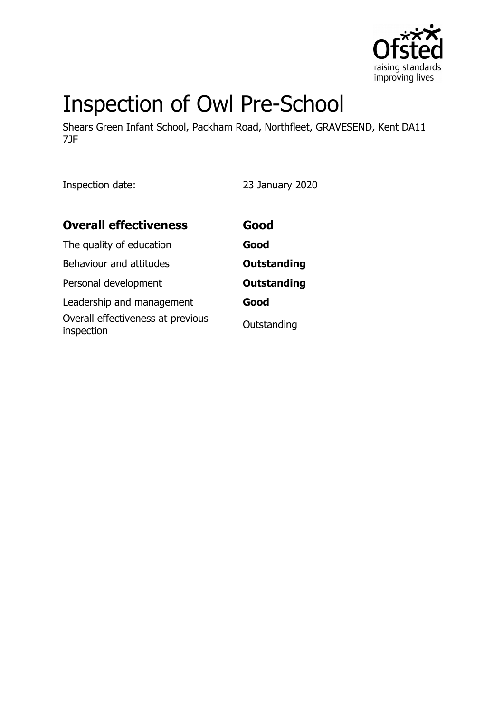

# Inspection of Owl Pre-School

Shears Green Infant School, Packham Road, Northfleet, GRAVESEND, Kent DA11 7JF

Inspection date: 23 January 2020

| <b>Overall effectiveness</b>                    | Good               |
|-------------------------------------------------|--------------------|
| The quality of education                        | Good               |
| Behaviour and attitudes                         | <b>Outstanding</b> |
| Personal development                            | <b>Outstanding</b> |
| Leadership and management                       | Good               |
| Overall effectiveness at previous<br>inspection | Outstanding        |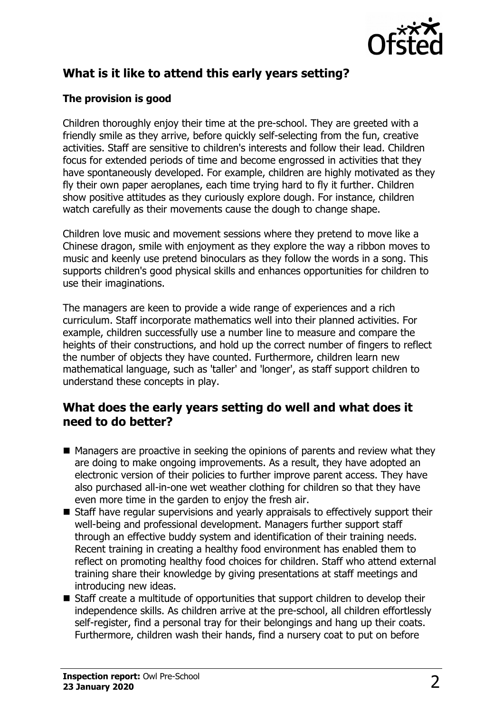

# **What is it like to attend this early years setting?**

## **The provision is good**

Children thoroughly enjoy their time at the pre-school. They are greeted with a friendly smile as they arrive, before quickly self-selecting from the fun, creative activities. Staff are sensitive to children's interests and follow their lead. Children focus for extended periods of time and become engrossed in activities that they have spontaneously developed. For example, children are highly motivated as they fly their own paper aeroplanes, each time trying hard to fly it further. Children show positive attitudes as they curiously explore dough. For instance, children watch carefully as their movements cause the dough to change shape.

Children love music and movement sessions where they pretend to move like a Chinese dragon, smile with enjoyment as they explore the way a ribbon moves to music and keenly use pretend binoculars as they follow the words in a song. This supports children's good physical skills and enhances opportunities for children to use their imaginations.

The managers are keen to provide a wide range of experiences and a rich curriculum. Staff incorporate mathematics well into their planned activities. For example, children successfully use a number line to measure and compare the heights of their constructions, and hold up the correct number of fingers to reflect the number of objects they have counted. Furthermore, children learn new mathematical language, such as 'taller' and 'longer', as staff support children to understand these concepts in play.

## **What does the early years setting do well and what does it need to do better?**

- $\blacksquare$  Managers are proactive in seeking the opinions of parents and review what they are doing to make ongoing improvements. As a result, they have adopted an electronic version of their policies to further improve parent access. They have also purchased all-in-one wet weather clothing for children so that they have even more time in the garden to enjoy the fresh air.
- $\blacksquare$  Staff have regular supervisions and yearly appraisals to effectively support their well-being and professional development. Managers further support staff through an effective buddy system and identification of their training needs. Recent training in creating a healthy food environment has enabled them to reflect on promoting healthy food choices for children. Staff who attend external training share their knowledge by giving presentations at staff meetings and introducing new ideas.
- $\blacksquare$  Staff create a multitude of opportunities that support children to develop their independence skills. As children arrive at the pre-school, all children effortlessly self-register, find a personal tray for their belongings and hang up their coats. Furthermore, children wash their hands, find a nursery coat to put on before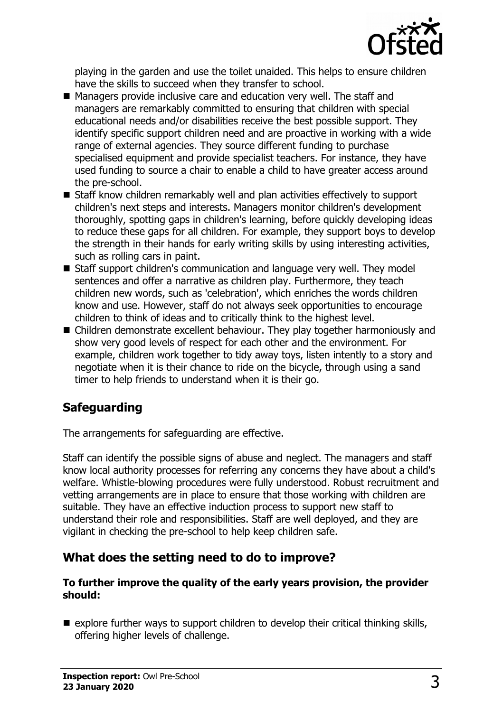

playing in the garden and use the toilet unaided. This helps to ensure children have the skills to succeed when they transfer to school.

- $\blacksquare$  Managers provide inclusive care and education very well. The staff and managers are remarkably committed to ensuring that children with special educational needs and/or disabilities receive the best possible support. They identify specific support children need and are proactive in working with a wide range of external agencies. They source different funding to purchase specialised equipment and provide specialist teachers. For instance, they have used funding to source a chair to enable a child to have greater access around the pre-school.
- $\blacksquare$  Staff know children remarkably well and plan activities effectively to support children's next steps and interests. Managers monitor children's development thoroughly, spotting gaps in children's learning, before quickly developing ideas to reduce these gaps for all children. For example, they support boys to develop the strength in their hands for early writing skills by using interesting activities, such as rolling cars in paint.
- Staff support children's communication and language very well. They model sentences and offer a narrative as children play. Furthermore, they teach children new words, such as 'celebration', which enriches the words children know and use. However, staff do not always seek opportunities to encourage children to think of ideas and to critically think to the highest level.
- $\blacksquare$  Children demonstrate excellent behaviour. They play together harmoniously and show very good levels of respect for each other and the environment. For example, children work together to tidy away toys, listen intently to a story and negotiate when it is their chance to ride on the bicycle, through using a sand timer to help friends to understand when it is their go.

# **Safeguarding**

The arrangements for safeguarding are effective.

Staff can identify the possible signs of abuse and neglect. The managers and staff know local authority processes for referring any concerns they have about a child's welfare. Whistle-blowing procedures were fully understood. Robust recruitment and vetting arrangements are in place to ensure that those working with children are suitable. They have an effective induction process to support new staff to understand their role and responsibilities. Staff are well deployed, and they are vigilant in checking the pre-school to help keep children safe.

## **What does the setting need to do to improve?**

#### **To further improve the quality of the early years provision, the provider should:**

 $\blacksquare$  explore further ways to support children to develop their critical thinking skills, offering higher levels of challenge.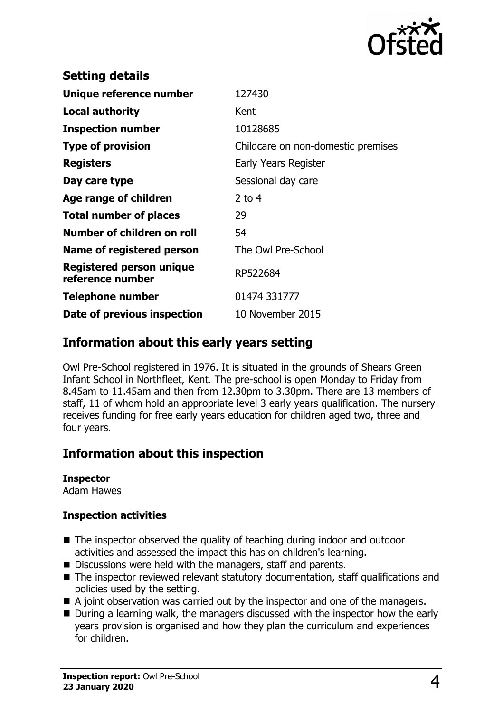

| <b>Setting details</b>                              |                                    |
|-----------------------------------------------------|------------------------------------|
| Unique reference number                             | 127430                             |
| Local authority                                     | Kent                               |
| <b>Inspection number</b>                            | 10128685                           |
| <b>Type of provision</b>                            | Childcare on non-domestic premises |
| <b>Registers</b>                                    | Early Years Register               |
| Day care type                                       | Sessional day care                 |
| Age range of children                               | $2$ to 4                           |
| <b>Total number of places</b>                       | 29                                 |
| Number of children on roll                          | 54                                 |
| Name of registered person                           | The Owl Pre-School                 |
| <b>Registered person unique</b><br>reference number | RP522684                           |
| <b>Telephone number</b>                             | 01474 331777                       |
| Date of previous inspection                         | 10 November 2015                   |
|                                                     |                                    |

## **Information about this early years setting**

Owl Pre-School registered in 1976. It is situated in the grounds of Shears Green Infant School in Northfleet, Kent. The pre-school is open Monday to Friday from 8.45am to 11.45am and then from 12.30pm to 3.30pm. There are 13 members of staff, 11 of whom hold an appropriate level 3 early years qualification. The nursery receives funding for free early years education for children aged two, three and four years.

# **Information about this inspection**

#### **Inspector**

Adam Hawes

#### **Inspection activities**

- $\blacksquare$  The inspector observed the quality of teaching during indoor and outdoor activities and assessed the impact this has on children's learning.
- $\blacksquare$  Discussions were held with the managers, staff and parents.
- $\blacksquare$  The inspector reviewed relevant statutory documentation, staff qualifications and policies used by the setting.
- $\blacksquare$  A joint observation was carried out by the inspector and one of the managers.
- $\blacksquare$  During a learning walk, the managers discussed with the inspector how the early years provision is organised and how they plan the curriculum and experiences for children.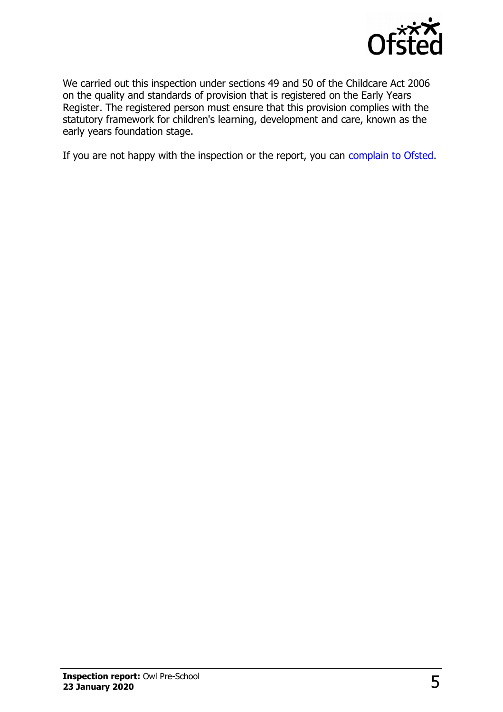

We carried out this inspection under sections 49 and 50 of the Childcare Act 2006 on the quality and standards of provision that is registered on the Early Years Register. The registered person must ensure that this provision complies with the statutory framework for children's learning, development and care, known as the early years foundation stage.

If you are not happy with the inspection or the report, you can [complain to Ofsted.](http://www.gov.uk/complain-ofsted-report)